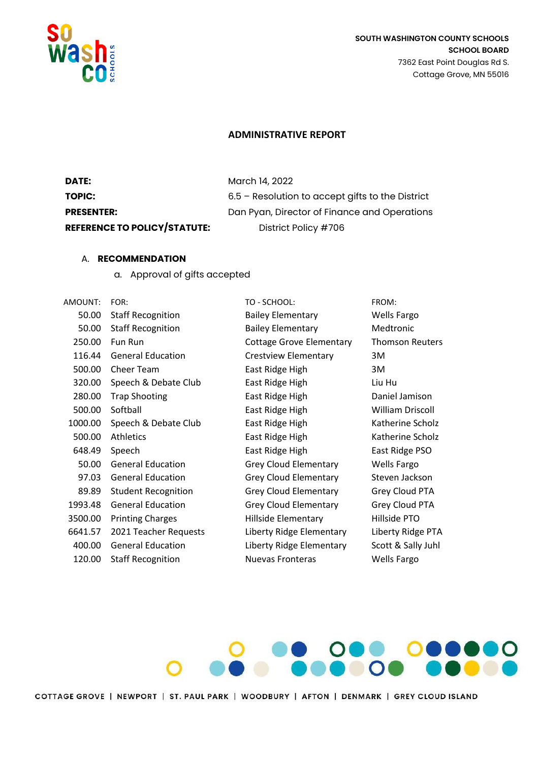

## **SOUTH WASHINGTON COUNTY SCHOOLS SCHOOL BOARD** 7362 East Point Douglas Rd S. Cottage Grove, MN 55016

## **ADMINISTRATIVE REPORT**

| DATE:                               | March 14, 2022                                     |
|-------------------------------------|----------------------------------------------------|
| TOPIC:                              | $6.5$ – Resolution to accept gifts to the District |
| <b>PRESENTER:</b>                   | Dan Pyan, Director of Finance and Operations       |
| <b>REFERENCE TO POLICY/STATUTE:</b> | District Policy #706                               |

## A. **RECOMMENDATION**

a. Approval of gifts accepted

| AMOUNT: | FOR:                       |
|---------|----------------------------|
| 50.00   | <b>Staff Recognition</b>   |
| 50.00   | <b>Staff Recognition</b>   |
| 250.00  | Fun Run                    |
| 116.44  | <b>General Education</b>   |
| 500.00  | Cheer Team                 |
| 320.00  | Speech & Debate Club       |
| 280.00  | <b>Trap Shooting</b>       |
| 500.00  | Softball                   |
| 1000.00 | Speech & Debate Club       |
| 500.00  | <b>Athletics</b>           |
| 648.49  | Speech                     |
| 50.00   | <b>General Education</b>   |
| 97.03   | <b>General Education</b>   |
| 89.89   | <b>Student Recognition</b> |
| 1993.48 | <b>General Education</b>   |
| 3500.00 | <b>Printing Charges</b>    |
| 6641.57 | 2021 Teacher Requests      |
| 400.00  | <b>General Education</b>   |
| 120.00  | <b>Staff Recognition</b>   |
|         |                            |

TO - SCHOOL: FROM: Bailey Elementary Wells Fargo Bailey Elementary Medtronic Cottage Grove Elementary Thomson Reuters Crestview Elementary 3M East Ridge High 3M East Ridge High Liu Hu East Ridge High Daniel Jamison East Ridge High William Driscoll East Ridge High Katherine Scholz East Ridge High Katherine Scholz East Ridge High East Ridge PSO Grey Cloud Elementary Wells Fargo Grey Cloud Elementary Steven Jackson Grey Cloud Elementary Grey Cloud PTA Grey Cloud Elementary Grey Cloud PTA 3500.00 Printing Charges Hillside Elementary Hillside PTO Liberty Ridge Elementary Liberty Ridge PTA Liberty Ridge Elementary Scott & Sally Juhl Nuevas Fronteras Wells Fargo



COTTAGE GROVE | NEWPORT | ST. PAUL PARK | WOODBURY | AFTON | DENMARK | GREY CLOUD ISLAND